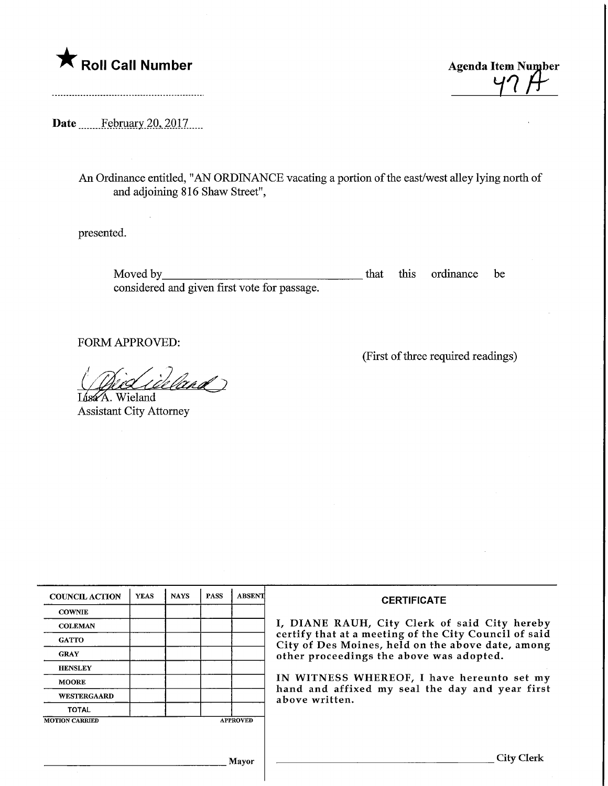

 $47.$ 

Date <u>February 20, 2017</u>

An Ordinance entitled, "AN ORDINANCE vacating a portion of the east/west alley lying north of and adjoining 816 Shaw Street",

presented.

Moved by\_ considered and given first vote for passage. that this ordinance be

FORM APPROVED:

(First of three required readings)

( Did inland)

Lisa<sup>k</sup>A. Wieland Assistant City Attorney

| <b>COUNCIL ACTION</b>                    | <b>YEAS</b> | <b>NAYS</b> | <b>PASS</b> | <b>ABSENT</b> | <b>CERTIFICATE</b>                                                                                                                                                                                                                                                                                                         |
|------------------------------------------|-------------|-------------|-------------|---------------|----------------------------------------------------------------------------------------------------------------------------------------------------------------------------------------------------------------------------------------------------------------------------------------------------------------------------|
| <b>COWNIE</b>                            |             |             |             |               | I, DIANE RAUH, City Clerk of said City hereby<br>certify that at a meeting of the City Council of said<br>City of Des Moines, held on the above date, among<br>other proceedings the above was adopted.<br>IN WITNESS WHEREOF, I have hereunto set my<br>hand and affixed my seal the day and year first<br>above written. |
| <b>COLEMAN</b>                           |             |             |             |               |                                                                                                                                                                                                                                                                                                                            |
| <b>GATTO</b>                             |             |             |             |               |                                                                                                                                                                                                                                                                                                                            |
| <b>GRAY</b>                              |             |             |             |               |                                                                                                                                                                                                                                                                                                                            |
| <b>HENSLEY</b>                           |             |             |             |               |                                                                                                                                                                                                                                                                                                                            |
| <b>MOORE</b>                             |             |             |             |               |                                                                                                                                                                                                                                                                                                                            |
| <b>WESTERGAARD</b>                       |             |             |             |               |                                                                                                                                                                                                                                                                                                                            |
| <b>TOTAL</b>                             |             |             |             |               |                                                                                                                                                                                                                                                                                                                            |
| <b>MOTION CARRIED</b><br><b>APPROVED</b> |             |             |             |               |                                                                                                                                                                                                                                                                                                                            |
|                                          |             |             |             |               |                                                                                                                                                                                                                                                                                                                            |
|                                          |             |             |             |               |                                                                                                                                                                                                                                                                                                                            |
| <b>Mayor</b>                             |             |             |             |               | <b>City Clerk</b>                                                                                                                                                                                                                                                                                                          |
|                                          |             |             |             |               |                                                                                                                                                                                                                                                                                                                            |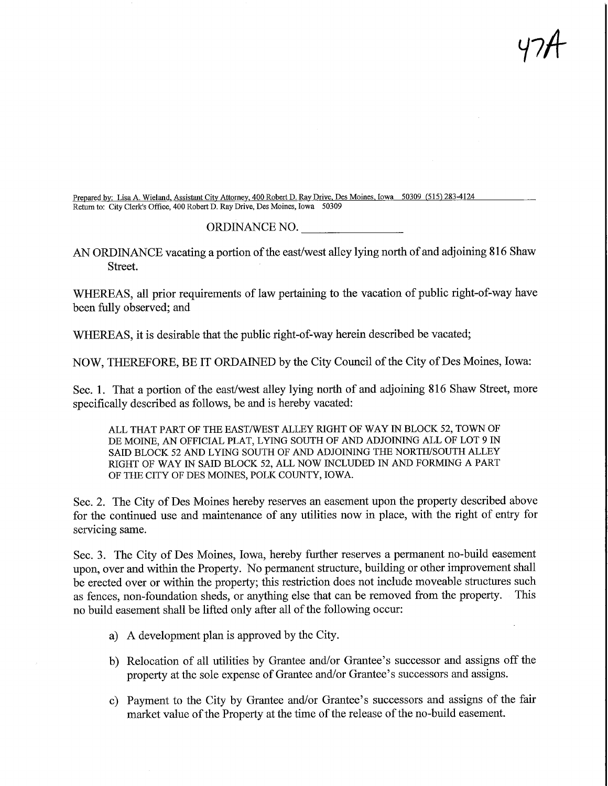Prepared by: Lisa A. Wieland, Assistant City Attorney, 400 Robert D. Ray Drive, Des Moines, Iowa 50309 (515) 283-4124 Return to: City Clerk's Office, 400 Robert D. Ray Drive, Des Moines, Iowa 50309

## ORDINANCE NO.

## AN ORDMANCE vacating a portion of the east/west alley lying north of and adjoining 816 Shaw Street.

WHEREAS, all prior requirements of law pertaining to the vacation of public right-of-way have been fully observed; and

WHEREAS, it is desirable that the public right-of-way herein described be vacated;

NOW, THEREFORE, BE IT ORDAINED by the City Council of the City of Des Moines, Iowa:

Sec. 1. That a portion of the east/west alley lying north of and adjoining 816 Shaw Street, more specifically described as follows, be and is hereby vacated:

ALL THAT PART OF THE EAST/WEST ALLEY RIGHT OF WAY IN BLOCK 52, TOWN OF DE MOINE, AN OFFICIAL PLAT, LYING SOUTH OF AND ADJOINING ALL OF LOT 9 IN SAID BLOCK 52 AND LYING SOUTH OF AND ADJOMNG THE NORTH/SOUTH ALLEY RIGHT OF WAY IN SAID BLOCK 52, ALL NOW INCLUDED IN AND FORMING A PART OF THE CITY OF DES MOINES, POLK COUNTY, IOWA.

Sec. 2. The City of Des Moines hereby reserves an easement upon the property described above for the continued use and maintenance of any utilities now in place, with the right of entry for servicing same.

Sec. 3. The City of Des Moines, Iowa, hereby further reserves a permanent no-build easement upon, over and within the Property. No permanent structure, building or other improvement shall be erected over or within the property; this restriction does not include moveable structures such as fences, non-foundation sheds, or anything else that can be removed from the property. This no build easement shall be lifted only after all of the following occur:

- a) A development plan is approved by the City.
- b) Relocation of all utilities by Grantee and/or Grantee's successor and assigns off the property at the sole expense of Grantee and/or Grantee's successors and assigns.
- c) Payment to the City by Grantee and/or Grantee's successors and assigns of the fair market value of the Property at the time of the release of the no-build easement.